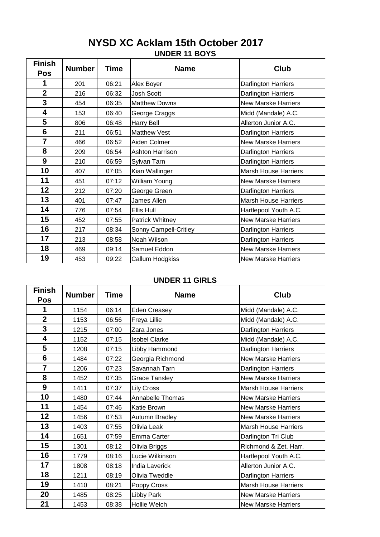## **UNDER 11 BOYS NYSD XC Acklam 15th October 2017**

| <b>Finish</b>   | <b>Number</b> | <b>Time</b> | <b>Name</b>            | Club                        |
|-----------------|---------------|-------------|------------------------|-----------------------------|
| <b>Pos</b>      |               |             |                        |                             |
| 1               | 201           | 06:21       | Alex Boyer             | Darlington Harriers         |
| $\overline{2}$  | 216           | 06:32       | Josh Scott             | Darlington Harriers         |
| 3               | 454           | 06:35       | <b>Matthew Downs</b>   | <b>New Marske Harriers</b>  |
| 4               | 153           | 06:40       | George Craggs          | Midd (Mandale) A.C.         |
| 5               | 806           | 06:48       | <b>Harry Bell</b>      | Allerton Junior A.C.        |
| $6\phantom{1}6$ | 211           | 06:51       | <b>Matthew Vest</b>    | Darlington Harriers         |
| $\overline{7}$  | 466           | 06:52       | Aiden Colmer           | <b>New Marske Harriers</b>  |
| 8               | 209           | 06:54       | <b>Ashton Harrison</b> | Darlington Harriers         |
| 9               | 210           | 06:59       | Sylvan Tarn            | Darlington Harriers         |
| 10              | 407           | 07:05       | Kian Wallinger         | <b>Marsh House Harriers</b> |
| 11              | 451           | 07:12       | William Young          | <b>New Marske Harriers</b>  |
| 12              | 212           | 07:20       | George Green           | Darlington Harriers         |
| 13              | 401           | 07:47       | James Allen            | <b>Marsh House Harriers</b> |
| 14              | 776           | 07:54       | Ellis Hull             | Hartlepool Youth A.C.       |
| 15              | 452           | 07:55       | Patrick Whitney        | <b>New Marske Harriers</b>  |
| 16              | 217           | 08:34       | Sonny Campell-Critley  | Darlington Harriers         |
| 17              | 213           | 08:58       | Noah Wilson            | Darlington Harriers         |
| 18              | 469           | 09:14       | Samuel Eddon           | New Marske Harriers         |
| 19              | 453           | 09:22       | Callum Hodgkiss        | <b>New Marske Harriers</b>  |

#### **UNDER 11 GIRLS**

| <b>Finish</b><br>Pos | <b>Number</b> | Time  | <b>Name</b>           | Club                        |
|----------------------|---------------|-------|-----------------------|-----------------------------|
| 1                    | 1154          | 06:14 | <b>Eden Creasey</b>   | Midd (Mandale) A.C.         |
| $\overline{2}$       | 1153          | 06:56 | Freya Lillie          | Midd (Mandale) A.C.         |
| 3                    | 1215          | 07:00 | Zara Jones            | Darlington Harriers         |
| 4                    | 1152          | 07:15 | <b>Isobel Clarke</b>  | Midd (Mandale) A.C.         |
| 5                    | 1208          | 07:15 | Libby Hammond         | Darlington Harriers         |
| $6\phantom{1}6$      | 1484          | 07:22 | Georgia Richmond      | <b>New Marske Harriers</b>  |
| $\overline{7}$       | 1206          | 07:23 | Savannah Tarn         | Darlington Harriers         |
| 8                    | 1452          | 07:35 | <b>Grace Tansley</b>  | <b>New Marske Harriers</b>  |
| 9                    | 1411          | 07:37 | <b>Lily Cross</b>     | <b>Marsh House Harriers</b> |
| 10                   | 1480          | 07:44 | Annabelle Thomas      | <b>New Marske Harriers</b>  |
| 11                   | 1454          | 07:46 | Katie Brown           | <b>New Marske Harriers</b>  |
| 12                   | 1456          | 07:53 | Autumn Bradley        | <b>New Marske Harriers</b>  |
| 13                   | 1403          | 07:55 | Olivia Leak           | <b>Marsh House Harriers</b> |
| 14                   | 1651          | 07:59 | Emma Carter           | Darlington Tri Club         |
| 15                   | 1301          | 08:12 | Olivia Briggs         | Richmond & Zet. Harr.       |
| 16                   | 1779          | 08:16 | Lucie Wilkinson       | Hartlepool Youth A.C.       |
| 17                   | 1808          | 08:18 | <b>India Laverick</b> | Allerton Junior A.C.        |
| 18                   | 1211          | 08:19 | Olivia Tweddle        | Darlington Harriers         |
| 19                   | 1410          | 08:21 | Poppy Cross           | <b>Marsh House Harriers</b> |
| 20                   | 1485          | 08:25 | Libby Park            | <b>New Marske Harriers</b>  |
| 21                   | 1453          | 08:38 | <b>Hollie Welch</b>   | <b>New Marske Harriers</b>  |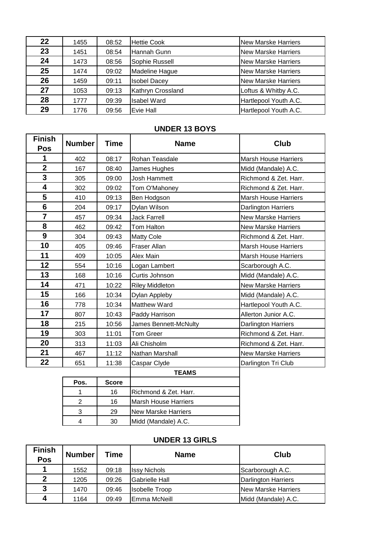| 22 | 1455 | 08:52 | <b>Hettie Cook</b>  | <b>New Marske Harriers</b> |
|----|------|-------|---------------------|----------------------------|
| 23 | 1451 | 08:54 | Hannah Gunn         | <b>New Marske Harriers</b> |
| 24 | 1473 | 08:56 | Sophie Russell      | <b>New Marske Harriers</b> |
| 25 | 1474 | 09:02 | Madeline Hague      | <b>New Marske Harriers</b> |
| 26 | 1459 | 09:11 | <b>Isobel Dacey</b> | <b>New Marske Harriers</b> |
| 27 | 1053 | 09:13 | Kathryn Crossland   | Loftus & Whitby A.C.       |
| 28 | 1777 | 09:39 | <b>Isabel Ward</b>  | Hartlepool Youth A.C.      |
| 29 | 1776 | 09:56 | Evie Hall           | Hartlepool Youth A.C.      |

#### **UNDER 13 BOYS**

| <b>Finish</b><br>Pos    | <b>Number</b>  | <b>Time</b>  | <b>Name</b>                 | <b>Club</b>                 |
|-------------------------|----------------|--------------|-----------------------------|-----------------------------|
| 1                       | 402            | 08:17        | Rohan Teasdale              | <b>Marsh House Harriers</b> |
| $\overline{\mathbf{2}}$ | 167            | 08:40        | James Hughes                | Midd (Mandale) A.C.         |
| 3                       | 305            | 09:00        | <b>Josh Hammett</b>         | Richmond & Zet. Harr.       |
| 4                       | 302            | 09:02        | Tom O'Mahoney               | Richmond & Zet. Harr.       |
| 5                       | 410            | 09:13        | Ben Hodgson                 | <b>Marsh House Harriers</b> |
| $6\phantom{1}6$         | 204            | 09:17        | Dylan Wilson                | Darlington Harriers         |
| $\overline{7}$          | 457            | 09:34        | <b>Jack Farrell</b>         | <b>New Marske Harriers</b>  |
| 8                       | 462            | 09:42        | Tom Halton                  | <b>New Marske Harriers</b>  |
| $\boldsymbol{9}$        | 304            | 09:43        | <b>Matty Cole</b>           | Richmond & Zet. Harr.       |
| 10                      | 405            | 09:46        | <b>Fraser Allan</b>         | <b>Marsh House Harriers</b> |
| 11                      | 409            | 10:05        | Alex Main                   | <b>Marsh House Harriers</b> |
| 12                      | 554            | 10:16        | Logan Lambert               | Scarborough A.C.            |
| 13                      | 168            | 10:16        | Curtis Johnson              | Midd (Mandale) A.C.         |
| 14                      | 471            | 10:22        | <b>Riley Middleton</b>      | <b>New Marske Harriers</b>  |
| 15                      | 166            | 10:34        | Dylan Appleby               | Midd (Mandale) A.C.         |
| 16                      | 778            | 10:34        | Matthew Ward                | Hartlepool Youth A.C.       |
| 17                      | 807            | 10:43        | Paddy Harrison              | Allerton Junior A.C.        |
| 18                      | 215            | 10:56        | James Bennett-McNulty       | <b>Darlington Harriers</b>  |
| 19                      | 303            | 11:01        | <b>Tom Greer</b>            | Richmond & Zet. Harr.       |
| 20                      | 313            | 11:03        | Ali Chisholm                | Richmond & Zet. Harr.       |
| 21                      | 467            | 11:12        | Nathan Marshall             | New Marske Harriers         |
| 22                      | 651            | 11:38        | Caspar Clyde                | Darlington Tri Club         |
|                         |                |              | <b>TEAMS</b>                |                             |
|                         | Pos.           | <b>Score</b> |                             |                             |
|                         | 1              | 16           | Richmond & Zet. Harr.       |                             |
|                         | $\overline{2}$ | 16           | <b>Marsh House Harriers</b> |                             |

## **UNDER 13 GIRLS**

| <b>Finish</b><br>Pos | <b>Number</b> | Time  | <b>Name</b>           | Club                       |
|----------------------|---------------|-------|-----------------------|----------------------------|
|                      | 1552          | 09:18 | <b>Issy Nichols</b>   | Scarborough A.C.           |
| $\mathbf{2}$         | 1205          | 09:26 | <b>Gabrielle Hall</b> | <b>Darlington Harriers</b> |
| 3                    | 1470          | 09:46 | <b>Isobelle Troop</b> | <b>New Marske Harriers</b> |
| 4                    | 1164          | 09:49 | Emma McNeill          | Midd (Mandale) A.C.        |

 29 New Marske Harriers 30 Midd (Mandale) A.C.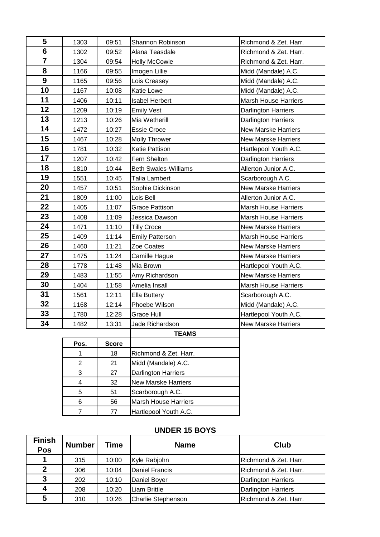| 5                       | 1303           | 09:51        | Shannon Robinson           | Richmond & Zet. Harr.       |
|-------------------------|----------------|--------------|----------------------------|-----------------------------|
| 6                       | 1302           | 09:52        | Alana Teasdale             | Richmond & Zet. Harr.       |
| $\overline{\mathbf{7}}$ | 1304           | 09:54        | <b>Holly McCowie</b>       | Richmond & Zet. Harr.       |
| 8                       | 1166           | 09:55        | Imogen Lillie              | Midd (Mandale) A.C.         |
| 9                       | 1165           | 09:56        | Lois Creasey               | Midd (Mandale) A.C.         |
| 10                      | 1167           | 10:08        | Katie Lowe                 | Midd (Mandale) A.C.         |
| 11                      | 1406           | 10:11        | <b>Isabel Herbert</b>      | <b>Marsh House Harriers</b> |
| 12                      | 1209           | 10:19        | <b>Emily Vest</b>          | Darlington Harriers         |
| 13                      | 1213           | 10:26        | Mia Wetherill              | Darlington Harriers         |
| 14                      | 1472           | 10:27        | <b>Essie Croce</b>         | <b>New Marske Harriers</b>  |
| 15                      | 1467           | 10:28        | <b>Molly Thrower</b>       | <b>New Marske Harriers</b>  |
| 16                      | 1781           | 10:32        | Katie Pattison             | Hartlepool Youth A.C.       |
| 17                      | 1207           | 10:42        | Fern Shelton               | Darlington Harriers         |
| 18                      | 1810           | 10:44        | Beth Swales-Williams       | Allerton Junior A.C.        |
| 19                      | 1551           | 10:45        | <b>Talia Lambert</b>       | Scarborough A.C.            |
| 20                      | 1457           | 10:51        | Sophie Dickinson           | New Marske Harriers         |
| 21                      | 1809           | 11:00        | Lois Bell                  | Allerton Junior A.C.        |
| 22                      | 1405           | 11:07        | <b>Grace Pattison</b>      | Marsh House Harriers        |
| 23                      | 1408           | 11:09        | Jessica Dawson             | <b>Marsh House Harriers</b> |
| 24                      | 1471           | 11:10        | <b>Tilly Croce</b>         | <b>New Marske Harriers</b>  |
| 25                      | 1409           | 11:14        | <b>Emily Patterson</b>     | <b>Marsh House Harriers</b> |
| 26                      | 1460           | 11:21        | Zoe Coates                 | <b>New Marske Harriers</b>  |
| 27                      | 1475           | 11:24        | Camille Hague              | <b>New Marske Harriers</b>  |
| 28                      | 1778           | 11:48        | Mia Brown                  | Hartlepool Youth A.C.       |
| 29                      | 1483           | 11:55        | Amy Richardson             | <b>New Marske Harriers</b>  |
| 30                      | 1404           | 11:58        | Amelia Insall              | <b>Marsh House Harriers</b> |
| 31                      | 1561           | 12:11        | Ella Buttery               | Scarborough A.C.            |
| 32                      | 1168           | 12:14        | Phoebe Wilson              | Midd (Mandale) A.C.         |
| 33                      | 1780           | 12:28        | Grace Hull                 | Hartlepool Youth A.C.       |
| 34                      | 1482           | 13:31        | Jade Richardson            | <b>New Marske Harriers</b>  |
|                         |                |              | <b>TEAMS</b>               |                             |
|                         | Pos.           | <b>Score</b> |                            |                             |
|                         | 1              | 18           | Richmond & Zet. Harr.      |                             |
|                         | $\overline{c}$ | 21           | Midd (Mandale) A.C.        |                             |
|                         | 3              | 27           | Darlington Harriers        |                             |
|                         | 4              | 32           | <b>New Marske Harriers</b> |                             |
|                         |                |              |                            |                             |

## **UNDER 15 BOYS**

| <b>Finish</b><br><b>Pos</b> | <b>Number</b> | <b>Time</b> | <b>Name</b>               | Club                  |
|-----------------------------|---------------|-------------|---------------------------|-----------------------|
|                             | 315           | 10:00       | Kyle Rabjohn              | Richmond & Zet. Harr. |
| $\mathbf{2}$                | 306           | 10:04       | Daniel Francis            | Richmond & Zet. Harr. |
| 3                           | 202           | 10:10       | Daniel Boyer              | Darlington Harriers   |
| 4                           | 208           | 10:20       | <b>Liam Brittle</b>       | Darlington Harriers   |
| 5                           | 310           | 10:26       | <b>Charlie Stephenson</b> | Richmond & Zet. Harr. |

5 51 Scarborough A.C. 56 Marsh House Harriers 7 77 Hartlepool Youth A.C.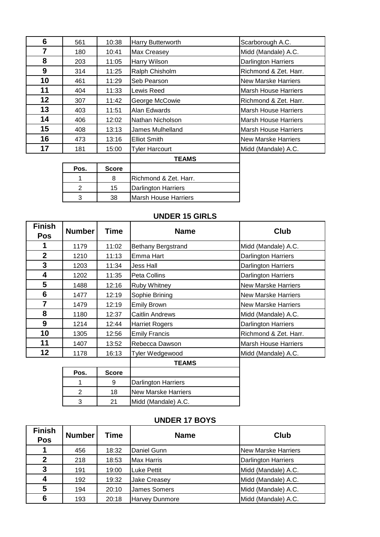| 6  | 561 | 10:38 | Harry Butterworth     | Scarborough A.C.            |
|----|-----|-------|-----------------------|-----------------------------|
| 7  | 180 | 10:41 | Max Creasey           | Midd (Mandale) A.C.         |
| 8  | 203 | 11:05 | Harry Wilson          | <b>Darlington Harriers</b>  |
| 9  | 314 | 11:25 | Ralph Chisholm        | Richmond & Zet. Harr.       |
| 10 | 461 | 11:29 | Seb Pearson           | <b>New Marske Harriers</b>  |
| 11 | 404 | 11:33 | Lewis Reed            | <b>Marsh House Harriers</b> |
| 12 | 307 | 11:42 | George McCowie        | Richmond & Zet. Harr.       |
| 13 | 403 | 11:51 | Alan Edwards          | <b>Marsh House Harriers</b> |
| 14 | 406 | 12:02 | Nathan Nicholson      | <b>Marsh House Harriers</b> |
| 15 | 408 | 13:13 | James Mulhelland      | <b>Marsh House Harriers</b> |
| 16 | 473 | 13:16 | <b>Elliot Smith</b>   | <b>New Marske Harriers</b>  |
| 17 | 181 | 15:00 | <b>Tyler Harcourt</b> | Midd (Mandale) A.C.         |
|    |     |       | <b>TEAMS</b>          |                             |

| Pos. | <b>Score</b> |                            |
|------|--------------|----------------------------|
|      |              | Richmond & Zet. Harr.      |
|      | 15           | <b>Darlington Harriers</b> |
|      | 38.          | Marsh House Harriers       |

## **UNDER 15 GIRLS**

| <b>Finish</b><br>Pos | <b>Number</b>  | <b>Time</b>  | <b>Name</b>                | Club                        |
|----------------------|----------------|--------------|----------------------------|-----------------------------|
| 1                    | 1179           | 11:02        | <b>Bethany Bergstrand</b>  | Midd (Mandale) A.C.         |
| $\overline{2}$       | 1210           | 11:13        | Emma Hart                  | Darlington Harriers         |
| 3                    | 1203           | 11:34        | <b>Jess Hall</b>           | <b>Darlington Harriers</b>  |
| 4                    | 1202           | 11:35        | Peta Collins               | <b>Darlington Harriers</b>  |
| 5                    | 1488           | 12:16        | Ruby Whitney               | <b>New Marske Harriers</b>  |
| 6                    | 1477           | 12:19        | Sophie Brining             | <b>New Marske Harriers</b>  |
| 7                    | 1479           | 12:19        | <b>Emily Brown</b>         | <b>New Marske Harriers</b>  |
| 8                    | 1180           | 12:37        | <b>Caitlin Andrews</b>     | Midd (Mandale) A.C.         |
| 9                    | 1214           | 12:44        | <b>Harriet Rogers</b>      | Darlington Harriers         |
| 10                   | 1305           | 12:56        | <b>Emily Francis</b>       | Richmond & Zet. Harr.       |
| 11                   | 1407           | 13:52        | Rebecca Dawson             | <b>Marsh House Harriers</b> |
| 12                   | 1178           | 16:13        | Tyler Wedgewood            | Midd (Mandale) A.C.         |
|                      |                |              | <b>TEAMS</b>               |                             |
|                      | Pos.           | <b>Score</b> |                            |                             |
|                      |                | 9            | Darlington Harriers        |                             |
|                      | $\overline{2}$ | 18           | <b>New Marske Harriers</b> |                             |
|                      | 3              | 21           | Midd (Mandale) A.C.        |                             |

# **UNDER 17 BOYS**

| <b>Finish</b><br><b>Pos</b> | <b>Number</b> | Time  | <b>Name</b>           | Club                       |
|-----------------------------|---------------|-------|-----------------------|----------------------------|
|                             | 456           | 18:32 | Daniel Gunn           | <b>New Marske Harriers</b> |
| 2                           | 218           | 18:53 | <b>Max Harris</b>     | Darlington Harriers        |
| 3                           | 191           | 19:00 | <b>Luke Pettit</b>    | Midd (Mandale) A.C.        |
| 4                           | 192           | 19:32 | <b>Jake Creasey</b>   | Midd (Mandale) A.C.        |
| 5                           | 194           | 20:10 | <b>James Somers</b>   | Midd (Mandale) A.C.        |
| 6                           | 193           | 20:18 | <b>Harvey Dunmore</b> | Midd (Mandale) A.C.        |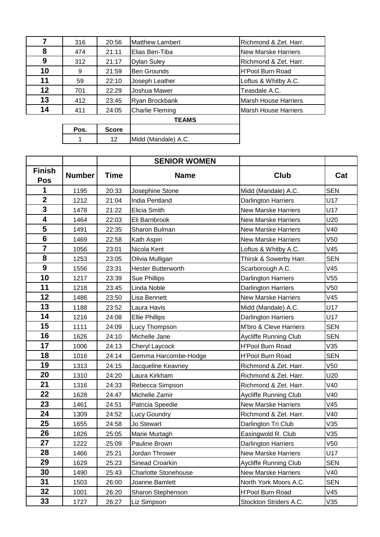| 7  | 316  | 20:56        | <b>Matthew Lambert</b> | Richmond & Zet. Harr.       |
|----|------|--------------|------------------------|-----------------------------|
| 8  | 474  | 21:11        | Elias Ben-Tiba         | New Marske Harriers         |
| 9  | 312  | 21:17        | <b>Dylan Suley</b>     | Richmond & Zet. Harr.       |
| 10 | 9    | 21:59        | <b>Ben Grounds</b>     | <b>H'Pool Burn Road</b>     |
| 11 | 59   | 22:10        | Joseph Leather         | Loftus & Whitby A.C.        |
| 12 | 701  | 22:29        | Joshua Mawer           | Teasdale A.C.               |
| 13 | 412  | 23:45        | Ryan Brockbank         | <b>Marsh House Harriers</b> |
| 14 | 411  | 24:05        | <b>Charlie Fleming</b> | <b>Marsh House Harriers</b> |
|    |      |              | <b>TEAMS</b>           |                             |
|    | Pos. | <b>Score</b> |                        |                             |
|    |      | 12           | Midd (Mandale) A.C.    |                             |

|                             |               |             | <b>SENIOR WOMEN</b>         |                              |            |
|-----------------------------|---------------|-------------|-----------------------------|------------------------------|------------|
| <b>Finish</b><br><b>Pos</b> | <b>Number</b> | <b>Time</b> | <b>Name</b>                 | Club                         | Cat        |
| 1                           | 1195          | 20:33       | Josephine Stone             | Midd (Mandale) A.C.          | <b>SEN</b> |
| $\mathbf{2}$                | 1212          | 21:04       | India Pentland              | <b>Darlington Harriers</b>   | U17        |
| $\mathbf 3$                 | 1478          | 21:22       | Elicia Smith                | <b>New Marske Harriers</b>   | U17        |
| 4                           | 1464          | 22:03       | Eli Barnbrook               | <b>New Marske Harriers</b>   | U20        |
| 5                           | 1491          | 22:35       | Sharon Bulman               | <b>New Marske Harriers</b>   | V40        |
| $6\phantom{1}6$             | 1469          | 22:58       | Kath Aspin                  | <b>New Marske Harriers</b>   | V50        |
| $\overline{7}$              | 1056          | 23:01       | Nicola Kent                 | Loftus & Whitby A.C.         | V45        |
| 8                           | 1253          | 23:05       | Olivia Mulligan             | Thirsk & Sowerby Harr.       | <b>SEN</b> |
| 9                           | 1556          | 23:31       | <b>Hester Butterworth</b>   | Scarborough A.C.             | V45        |
| 10                          | 1217          | 23:39       | Sue Phillips                | Darlington Harriers          | V55        |
| 11                          | 1218          | 23:45       | Linda Noble                 | Darlington Harriers          | V50        |
| 12                          | 1486          | 23:50       | Lisa Bennett                | <b>New Marske Harriers</b>   | V45        |
| 13                          | 1188          | 23:52       | Laura Havis                 | Midd (Mandale) A.C.          | U17        |
| 14                          | 1216          | 24:08       | <b>Ellie Phillips</b>       | <b>Darlington Harriers</b>   | U17        |
| 15                          | 1111          | 24:09       | Lucy Thompson               | M'bro & Cleve Harriers       | <b>SEN</b> |
| 16                          | 1626          | 24:10       | Michelle Jane               | <b>Aycliffe Running Club</b> | <b>SEN</b> |
| 17                          | 1006          | 24:13       | Cheryl Laycock              | <b>H'Pool Burn Road</b>      | V35        |
| 18                          | 1016          | 24:14       | Gemma Harcombe-Hodge        | <b>H'Pool Burn Road</b>      | <b>SEN</b> |
| 19                          | 1313          | 24:15       | Jacqueline Keavney          | Richmond & Zet. Harr.        | V50        |
| 20                          | 1310          | 24:20       | Laura Kirkham               | Richmond & Zet. Harr.        | U20        |
| 21                          | 1316          | 24:33       | Rebecca Simpson             | Richmond & Zet. Harr.        | V40        |
| 22                          | 1628          | 24:47       | Michelle Zamir              | Aycliffe Running Club        | V40        |
| 23                          | 1461          | 24:51       | Patricia Speedie            | <b>New Marske Harriers</b>   | V45        |
| 24                          | 1309          | 24:52       | Lucy Goundry                | Richmond & Zet. Harr.        | V40        |
| 25                          | 1655          | 24:58       | Jo Stewart                  | Darlington Tri Club          | V35        |
| 26                          | 1826          | 25:05       | Marie Murtagh               | Easingwold R. Club           | V35        |
| 27                          | 1222          | 25:09       | Pauline Brown               | Darlington Harriers          | V50        |
| 28                          | 1466          | 25:21       | Jordan Thrower              | New Marske Harriers          | U17        |
| 29                          | 1629          | 25:23       | Sinead Croarkin             | <b>Aycliffe Running Club</b> | <b>SEN</b> |
| 30                          | 1490          | 25:43       | <b>Charlotte Stonehouse</b> | <b>New Marske Harriers</b>   | V40        |
| 31                          | 1503          | 26:00       | Joanne Bamlett              | North York Moors A.C.        | <b>SEN</b> |
| 32                          | 1001          | 26:20       | Sharon Stephenson           | H'Pool Burn Road             | V45        |
| 33                          | 1727          | 26:27       | Liz Simpson                 | Stockton Striders A.C.       | V35        |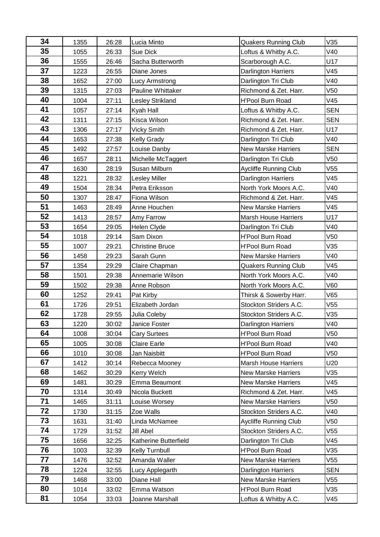| 34 | 1355 | 26:28 | Lucia Minto             | <b>Quakers Running Club</b>  | V35             |
|----|------|-------|-------------------------|------------------------------|-----------------|
| 35 | 1055 | 26:33 | Sue Dick                | Loftus & Whitby A.C.         | V40             |
| 36 | 1555 | 26:46 | Sacha Butterworth       | Scarborough A.C.             | U17             |
| 37 | 1223 | 26:55 | Diane Jones             | Darlington Harriers          | V45             |
| 38 | 1652 | 27:00 | Lucy Armstrong          | Darlington Tri Club          | V40             |
| 39 | 1315 | 27:03 | Pauline Whittaker       | Richmond & Zet. Harr.        | V <sub>50</sub> |
| 40 | 1004 | 27:11 | <b>Lesley Strikland</b> | <b>H'Pool Burn Road</b>      | V45             |
| 41 | 1057 | 27:14 | Kyah Hall               | Loftus & Whitby A.C.         | <b>SEN</b>      |
| 42 | 1311 | 27:15 | Kisca Wilson            | Richmond & Zet. Harr.        | <b>SEN</b>      |
| 43 | 1306 | 27:17 | Vicky Smith             | Richmond & Zet. Harr.        | U17             |
| 44 | 1653 | 27:38 | <b>Kelly Grady</b>      | Darlington Tri Club          | V40             |
| 45 | 1492 | 27:57 | Louise Danby            | <b>New Marske Harriers</b>   | <b>SEN</b>      |
| 46 | 1657 | 28:11 | Michelle McTaggert      | Darlington Tri Club          | V50             |
| 47 | 1630 | 28:19 | Susan Milburn           | <b>Aycliffe Running Club</b> | V <sub>55</sub> |
| 48 | 1221 | 28:32 | <b>Lesley Miller</b>    | Darlington Harriers          | V45             |
| 49 | 1504 | 28:34 | Petra Eriksson          | North York Moors A.C.        | V40             |
| 50 | 1307 | 28:47 | Fiona Wilson            | Richmond & Zet. Harr.        | V45             |
| 51 | 1463 | 28:49 | Anne Houchen            | <b>New Marske Harriers</b>   | V45             |
| 52 | 1413 | 28:57 | Amy Farrow              | <b>Marsh House Harriers</b>  | U17             |
| 53 | 1654 | 29:05 | Helen Clyde             | Darlington Tri Club          | V40             |
| 54 | 1018 | 29:14 | Sam Dixon               | <b>H'Pool Burn Road</b>      | V <sub>50</sub> |
| 55 | 1007 | 29:21 | <b>Christine Bruce</b>  | <b>H'Pool Burn Road</b>      | V35             |
| 56 | 1458 | 29:23 | Sarah Gunn              | <b>New Marske Harriers</b>   | V40             |
| 57 | 1354 | 29:29 | Claire Chapman          | <b>Quakers Running Club</b>  | V45             |
| 58 | 1501 | 29:38 | Annemarie Wilson        | North York Moors A.C.        | V40             |
| 59 | 1502 | 29:38 | Anne Robson             | North York Moors A.C.        | V60             |
| 60 | 1252 | 29:41 | Pat Kirby               | Thirsk & Sowerby Harr.       | V65             |
| 61 | 1726 | 29:51 | Elizabeth Jordan        | Stockton Striders A.C.       | V <sub>55</sub> |
| 62 | 1728 | 29:55 | Julia Coleby            | Stockton Striders A.C.       | V35             |
| 63 | 1220 | 30:02 | Janice Foster           | Darlington Harriers          | V40             |
| 64 | 1008 | 30:04 | <b>Cary Surtees</b>     | H'Pool Burn Road             | V50             |
| 65 | 1005 | 30:08 | <b>Claire Earle</b>     | <b>H'Pool Burn Road</b>      | V40             |
| 66 | 1010 | 30:08 | Jan Naisbitt            | <b>H'Pool Burn Road</b>      | V50             |
| 67 | 1412 | 30:14 | Rebecca Mooney          | <b>Marsh House Harriers</b>  | U20             |
| 68 | 1462 | 30:29 | Kerry Welch             | <b>New Marske Harriers</b>   | V35             |
| 69 | 1481 | 30:29 | Emma Beaumont           | <b>New Marske Harriers</b>   | V45             |
| 70 | 1314 | 30:49 | Nicola Buckett          | Richmond & Zet. Harr.        | V45             |
| 71 | 1465 | 31:11 | Louise Worsey           | <b>New Marske Harriers</b>   | V50             |
| 72 | 1730 | 31:15 | Zoe Walls               | Stockton Striders A.C.       | V40             |
| 73 | 1631 | 31:40 | Linda McNamee           | <b>Aycliffe Running Club</b> | V50             |
| 74 | 1729 | 31:52 | Jill Abel               | Stockton Striders A.C.       | V55             |
| 75 | 1656 | 32:25 | Katherine Butterfield   | Darlington Tri Club          | V45             |
| 76 | 1003 | 32:39 | Kelly Turnbull          | <b>H'Pool Burn Road</b>      | V35             |
| 77 | 1476 | 32:52 | Amanda Waller           | <b>New Marske Harriers</b>   | V55             |
| 78 | 1224 | 32:55 | Lucy Applegarth         | Darlington Harriers          | <b>SEN</b>      |
| 79 | 1468 | 33:00 | Diane Hall              | <b>New Marske Harriers</b>   | V55             |
| 80 | 1014 | 33:02 | Emma Watson             | H'Pool Burn Road             | V35             |
| 81 | 1054 | 33:03 | Joanne Marshall         | Loftus & Whitby A.C.         | V45             |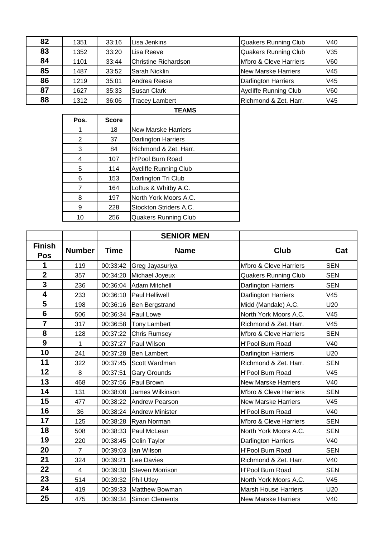| 82 | 1351 | 33:16 | Lisa Jenkins          | <b>Quakers Running Club</b> | V40 |
|----|------|-------|-----------------------|-----------------------------|-----|
| 83 | 1352 | 33:20 | Lisa Reeve            | <b>Quakers Running Club</b> | V35 |
| 84 | 1101 | 33:44 | Christine Richardson  | M'bro & Cleve Harriers      | V60 |
| 85 | 1487 | 33:52 | Sarah Nicklin         | New Marske Harriers         | V45 |
| 86 | 1219 | 35:01 | Andrea Reese          | Darlington Harriers         | V45 |
| 87 | 1627 | 35:33 | Susan Clark           | Aycliffe Running Club       | V60 |
| 88 | 1312 | 36:06 | <b>Tracey Lambert</b> | Richmond & Zet. Harr.       | V45 |
|    |      |       | <b>TEAMO</b>          |                             |     |

|      |              | <b>TEAMS</b>                 |
|------|--------------|------------------------------|
| Pos. | <b>Score</b> |                              |
|      | 18           | <b>New Marske Harriers</b>   |
| 2    | 37           | <b>Darlington Harriers</b>   |
| 3    | 84           | Richmond & Zet. Harr.        |
| 4    | 107          | <b>H'Pool Burn Road</b>      |
| 5    | 114          | <b>Aycliffe Running Club</b> |
| 6    | 153          | Darlington Tri Club          |
|      | 164          | Loftus & Whitby A.C.         |
| 8    | 197          | North York Moors A.C.        |
| 9    | 228          | Stockton Striders A.C.       |
| 10   | 256          | <b>Quakers Running Club</b>  |

|                             |                |             | <b>SENIOR MEN</b>        |                             |            |
|-----------------------------|----------------|-------------|--------------------------|-----------------------------|------------|
| <b>Finish</b><br><b>Pos</b> | <b>Number</b>  | <b>Time</b> | <b>Name</b>              | <b>Club</b>                 | Cat        |
| 1                           | 119            | 00:33:42    | Greg Jayasuriya          | M'bro & Cleve Harriers      | <b>SEN</b> |
| $\overline{2}$              | 357            |             | 00:34:20 Michael Joyeux  | <b>Quakers Running Club</b> | <b>SEN</b> |
| 3                           | 236            |             | 00:36:04 Adam Mitchell   | Darlington Harriers         | <b>SEN</b> |
| 4                           | 233            | 00:36:10    | <b>Paul Helliwell</b>    | Darlington Harriers         | V45        |
| 5                           | 198            |             | 00:36:16 Ben Bergstrand  | Midd (Mandale) A.C.         | U20        |
| $6\phantom{1}$              | 506            | 00:36:34    | Paul Lowe                | North York Moors A.C.       | V45        |
| $\overline{\mathbf{7}}$     | 317            | 00:36:58    | Tony Lambert             | Richmond & Zet. Harr.       | V45        |
| 8                           | 128            | 00:37:22    | <b>Chris Rumsey</b>      | M'bro & Cleve Harriers      | <b>SEN</b> |
| 9                           | 1              | 00:37:27    | Paul Wilson              | <b>H'Pool Burn Road</b>     | V40        |
| 10                          | 241            | 00:37:28    | <b>Ben Lambert</b>       | Darlington Harriers         | U20        |
| 11                          | 322            | 00:37:45    | Scott Wardman            | Richmond & Zet. Harr.       | <b>SEN</b> |
| 12                          | 8              | 00:37:51    | <b>Gary Grounds</b>      | <b>H'Pool Burn Road</b>     | V45        |
| 13                          | 468            | 00:37:56    | Paul Brown               | <b>New Marske Harriers</b>  | V40        |
| 14                          | 131            | 00:38:08    | James Wilkinson          | M'bro & Cleve Harriers      | <b>SEN</b> |
| 15                          | 477            |             | 00:38:22 Andrew Pearson  | <b>New Marske Harriers</b>  | V45        |
| 16                          | 36             |             | 00:38:24 Andrew Minister | <b>H'Pool Burn Road</b>     | V40        |
| 17                          | 125            | 00:38:28    | Ryan Norman              | M'bro & Cleve Harriers      | <b>SEN</b> |
| 18                          | 508            | 00:38:33    | Paul McLean              | North York Moors A.C.       | <b>SEN</b> |
| 19                          | 220            | 00:38:45    | Colin Taylor             | Darlington Harriers         | V40        |
| 20                          | $\overline{7}$ | 00:39:03    | lan Wilson               | <b>H'Pool Burn Road</b>     | <b>SEN</b> |
| 21                          | 324            | 00:39:21    | Lee Davies               | Richmond & Zet. Harr.       | V40        |
| 22                          | 4              | 00:39:30    | <b>Steven Morrison</b>   | <b>H'Pool Burn Road</b>     | <b>SEN</b> |
| 23                          | 514            | 00:39:32    | <b>Phil Utley</b>        | North York Moors A.C.       | V45        |
| 24                          | 419            |             | 00:39:33 Matthew Bowman  | <b>Marsh House Harriers</b> | U20        |
| 25                          | 475            |             | 00:39:34 Simon Clements  | <b>New Marske Harriers</b>  | V40        |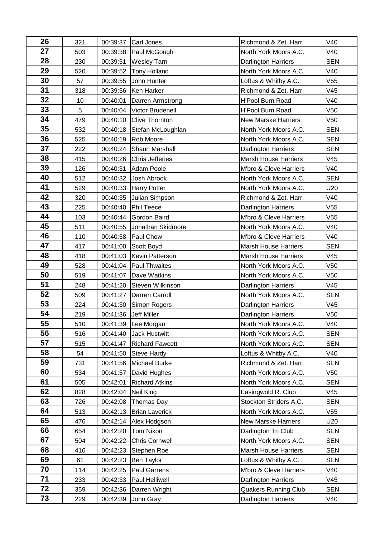| 26       | 321 | 00:39:37 | <b>Carl Jones</b>       | Richmond & Zet. Harr.       | V40             |
|----------|-----|----------|-------------------------|-----------------------------|-----------------|
| 27       | 503 | 00:39:38 | Paul McGough            | North York Moors A.C.       | V40             |
| 28       | 230 | 00:39:51 | <b>Wesley Tarn</b>      | Darlington Harriers         | <b>SEN</b>      |
| 29       | 520 | 00:39:52 | <b>Tony Holland</b>     | North York Moors A.C.       | V40             |
| 30       | 57  | 00:39:55 | John Hunter             | Loftus & Whitby A.C.        | V <sub>55</sub> |
| 31       | 318 | 00:39:56 | Ken Harker              | Richmond & Zet. Harr.       | V45             |
| 32       | 10  | 00:40:01 | Darren Armstrong        | <b>H'Pool Burn Road</b>     | V40             |
| 33       | 5   | 00:40:04 | <b>Victor Brudenell</b> | <b>H'Pool Burn Road</b>     | V <sub>50</sub> |
| 34       | 479 | 00:40:10 | <b>Clive Thornton</b>   | <b>New Marske Harriers</b>  | V <sub>50</sub> |
| 35       | 532 | 00:40:18 | Stefan McLoughlan       | North York Moors A.C.       | <b>SEN</b>      |
| 36       | 525 | 00:40:19 | Rob Moore               | North York Moors A.C.       | <b>SEN</b>      |
| 37       | 222 | 00:40:24 | <b>Shaun Marshall</b>   | Darlington Harriers         | <b>SEN</b>      |
| 38       | 415 | 00:40:26 | <b>Chris Jefferies</b>  | <b>Marsh House Harriers</b> | V45             |
| 39       | 126 | 00:40:31 | <b>Adam Poole</b>       | M'bro & Cleve Harriers      | V40             |
| 40       | 512 | 00:40:32 | Josh Abrook             | North York Moors A.C.       | <b>SEN</b>      |
| 41       | 529 | 00:40:33 | <b>Harry Potter</b>     | North York Moors A.C.       | U20             |
| 42       | 320 | 00:40:35 | Julian Simpson          | Richmond & Zet. Harr.       | V40             |
| 43       | 225 | 00:40:40 | Phil Teece              | Darlington Harriers         | V <sub>55</sub> |
| 44       | 103 | 00:40:44 | Gordon Baird            | M'bro & Cleve Harriers      | V <sub>55</sub> |
| 45       | 511 | 00:40:55 | Jonathan Skidmore       | North York Moors A.C.       | V40             |
| 46       | 110 | 00:40:58 | Paul Chow               | M'bro & Cleve Harriers      | V40             |
| 47       | 417 | 00:41:00 | Scott Boyd              | <b>Marsh House Harriers</b> | <b>SEN</b>      |
| 48       | 418 | 00:41:03 | <b>Kevin Patterson</b>  | <b>Marsh House Harriers</b> | V45             |
| 49       | 528 | 00:41:04 | <b>Paul Thwaites</b>    | North York Moors A.C.       | V <sub>50</sub> |
| 50       | 519 | 00:41:07 | Dave Watkins            | North York Moors A.C.       | V <sub>50</sub> |
| 51       | 248 | 00:41:20 | Steven Wilkinson        | Darlington Harriers         | V45             |
| 52       | 509 | 00:41:27 | Darren Carroll          | North York Moors A.C.       | <b>SEN</b>      |
| 53       | 224 | 00:41:30 | Simon Rogers            | <b>Darlington Harriers</b>  | V45             |
| 54       | 219 | 00:41:36 | <b>Jeff Miller</b>      | Darlington Harriers         | V <sub>50</sub> |
| 55       | 510 |          | 00:41:39 Lee Morgan     | North York Moors A.C.       | V40             |
| 56       | 516 | 00:41:40 | <b>Jack Hustwitt</b>    | North York Moors A.C.       | <b>SEN</b>      |
| 57       | 515 | 00:41:47 | <b>Richard Fawcett</b>  | North York Moors A.C.       | <b>SEN</b>      |
| 58       | 54  | 00:41:50 | <b>Steve Hardy</b>      | Loftus & Whitby A.C.        | V40             |
| 59       | 731 | 00:41:56 | Michael Burke           | Richmond & Zet. Harr.       | <b>SEN</b>      |
| 60       | 534 | 00:41:57 | David Hughes            | North York Moors A.C.       | V50             |
| 61       | 505 | 00:42:01 | <b>Richard Atkins</b>   | North York Moors A.C.       | <b>SEN</b>      |
| 62       | 828 | 00:42:04 | Neil King               | Easingwold R. Club          | V45             |
| 63       | 726 | 00:42:08 | Thomas Day              | Stockton Striders A.C.      | <b>SEN</b>      |
| 64       | 513 | 00:42:13 | <b>Brian Laverick</b>   | North York Moors A.C.       | V55             |
| 65       | 476 | 00:42:14 | Alex Hodgson            | <b>New Marske Harriers</b>  | U20             |
| 66       | 654 | 00:42:20 | <b>Tom Nixon</b>        | Darlington Tri Club         | <b>SEN</b>      |
| 67       | 504 | 00:42:22 | <b>Chris Cornwell</b>   | North York Moors A.C.       | <b>SEN</b>      |
| 68       | 416 | 00:42:23 | Stephen Roe             | <b>Marsh House Harriers</b> | <b>SEN</b>      |
| 69       | 61  | 00:42:23 | <b>Ben Taylor</b>       | Loftus & Whitby A.C.        | <b>SEN</b>      |
| 70<br>71 | 114 | 00:42:25 | <b>Paul Garrens</b>     | M'bro & Cleve Harriers      | V40             |
| 72       | 233 | 00:42:33 | Paul Helliwell          | <b>Darlington Harriers</b>  | V45             |
|          | 359 | 00:42:36 | Darren Wright           | <b>Quakers Running Club</b> | <b>SEN</b>      |
| 73       | 229 | 00:42:39 | John Gray               | Darlington Harriers         | V40             |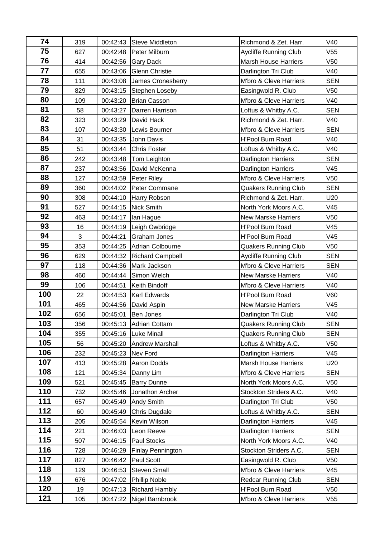| 74  | 319 |          | 00:42:43 Steve Middleton | Richmond & Zet. Harr.        | V40             |
|-----|-----|----------|--------------------------|------------------------------|-----------------|
| 75  | 627 | 00:42:48 | Peter Milburn            | Aycliffe Running Club        | V <sub>55</sub> |
| 76  | 414 | 00:42:56 | <b>Gary Dack</b>         | <b>Marsh House Harriers</b>  | V <sub>50</sub> |
| 77  | 655 | 00:43:06 | <b>Glenn Christie</b>    | Darlington Tri Club          | V40             |
| 78  | 111 | 00:43:08 | James Cronesberry        | M'bro & Cleve Harriers       | <b>SEN</b>      |
| 79  | 829 | 00:43:15 | Stephen Loseby           | Easingwold R. Club           | V <sub>50</sub> |
| 80  | 109 | 00:43:20 | <b>Brian Casson</b>      | M'bro & Cleve Harriers       | V40             |
| 81  | 58  | 00:43:27 | Darren Harrison          | Loftus & Whitby A.C.         | <b>SEN</b>      |
| 82  | 323 | 00:43:29 | David Hack               | Richmond & Zet. Harr.        | V40             |
| 83  | 107 | 00:43:30 | Lewis Bourner            | M'bro & Cleve Harriers       | <b>SEN</b>      |
| 84  | 31  | 00:43:35 | John Davis               | H'Pool Burn Road             | V40             |
| 85  | 51  | 00:43:44 | <b>Chris Foster</b>      | Loftus & Whitby A.C.         | V40             |
| 86  | 242 | 00:43:48 | Tom Leighton             | <b>Darlington Harriers</b>   | <b>SEN</b>      |
| 87  | 237 | 00:43:56 | David McKenna            | <b>Darlington Harriers</b>   | V45             |
| 88  | 127 | 00:43:59 | Peter Riley              | M'bro & Cleve Harriers       | V <sub>50</sub> |
| 89  | 360 | 00:44:02 | Peter Commane            | <b>Quakers Running Club</b>  | <b>SEN</b>      |
| 90  | 308 | 00:44:10 | Harry Robson             | Richmond & Zet. Harr.        | U20             |
| 91  | 527 | 00:44:15 | Nick Smith               | North York Moors A.C.        | V45             |
| 92  | 463 | 00:44:17 | Ian Hague                | <b>New Marske Harriers</b>   | V <sub>50</sub> |
| 93  | 16  | 00:44:19 | Leigh Owbridge           | <b>H'Pool Burn Road</b>      | V45             |
| 94  | 3   | 00:44:21 | <b>Graham Jones</b>      | H'Pool Burn Road             | V45             |
| 95  | 353 | 00:44:25 | Adrian Colbourne         | <b>Quakers Running Club</b>  | V <sub>50</sub> |
| 96  | 629 | 00:44:32 | <b>Richard Campbell</b>  | <b>Aycliffe Running Club</b> | <b>SEN</b>      |
| 97  | 118 | 00:44:36 | Mark Jackson             | M'bro & Cleve Harriers       | <b>SEN</b>      |
| 98  | 460 | 00:44:44 | Simon Welch              | <b>New Marske Harriers</b>   | V40             |
| 99  | 106 | 00:44:51 | Keith Bindoff            | M'bro & Cleve Harriers       | V40             |
| 100 | 22  | 00:44:53 | <b>Karl Edwards</b>      | <b>H'Pool Burn Road</b>      | V60             |
| 101 | 465 | 00:44:56 | David Aspin              | <b>New Marske Harriers</b>   | V45             |
| 102 | 656 | 00:45:01 | Ben Jones                | Darlington Tri Club          | V40             |
| 103 | 356 | 00:45:13 | Adrian Cottam            | Quakers Running Club         | <b>SEN</b>      |
| 104 | 355 | 00:45:16 | <b>Luke Minall</b>       | Quakers Running Club         | <b>SEN</b>      |
| 105 | 56  | 00:45:20 | <b>Andrew Marshall</b>   | Loftus & Whitby A.C.         | V <sub>50</sub> |
| 106 | 232 | 00:45:23 | Nev Ford                 | <b>Darlington Harriers</b>   | V45             |
| 107 | 413 | 00:45:28 | <b>Aaron Dodds</b>       | <b>Marsh House Harriers</b>  | U20             |
| 108 | 121 | 00:45:34 | Danny Lim                | M'bro & Cleve Harriers       | <b>SEN</b>      |
| 109 | 521 | 00:45:45 | <b>Barry Dunne</b>       | North York Moors A.C.        | V50             |
| 110 | 732 | 00:45:46 | Jonathon Archer          | Stockton Striders A.C.       | V40             |
| 111 | 657 | 00:45:49 | <b>Andy Smith</b>        | Darlington Tri Club          | V50             |
| 112 | 60  | 00:45:49 | Chris Dugdale            | Loftus & Whitby A.C.         | <b>SEN</b>      |
| 113 | 205 | 00:45:54 | Kevin Wilson             | <b>Darlington Harriers</b>   | V45             |
| 114 | 221 | 00:46:03 | Leon Reeve               | <b>Darlington Harriers</b>   | <b>SEN</b>      |
| 115 | 507 | 00:46:15 | Paul Stocks              | North York Moors A.C.        | V40             |
| 116 | 728 | 00:46:29 | <b>Finlay Pennington</b> | Stockton Striders A.C.       | <b>SEN</b>      |
| 117 | 827 | 00:46:42 | Paul Scott               | Easingwold R. Club           | V <sub>50</sub> |
| 118 | 129 | 00:46:53 | <b>Steven Small</b>      | M'bro & Cleve Harriers       | V45             |
| 119 | 676 | 00:47:02 | <b>Phillip Noble</b>     | <b>Redcar Running Club</b>   | <b>SEN</b>      |
| 120 | 19  | 00:47:13 | <b>Richard Hambly</b>    | <b>H'Pool Burn Road</b>      | V50             |
| 121 | 105 | 00:47:22 | Nigel Barnbrook          | M'bro & Cleve Harriers       | V <sub>55</sub> |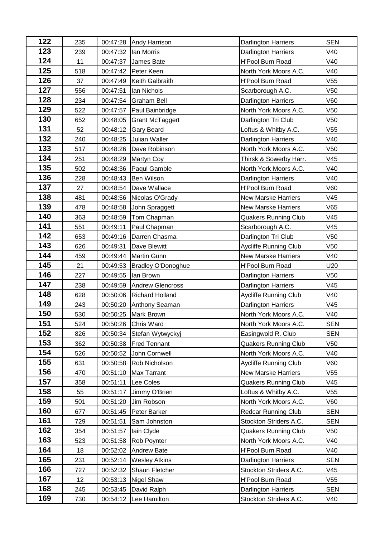| 122        | 235        | 00:47:28             | <b>Andy Harrison</b>      | <b>Darlington Harriers</b>                           | <b>SEN</b>               |
|------------|------------|----------------------|---------------------------|------------------------------------------------------|--------------------------|
| 123        | 239        | 00:47:32             | lan Morris                | <b>Darlington Harriers</b>                           | V40                      |
| 124        | 11         | 00:47:37             | James Bate                | <b>H'Pool Burn Road</b>                              | V40                      |
| 125        | 518        | 00:47:42             | Peter Keen                | North York Moors A.C.                                | V40                      |
| 126        | 37         | 00:47:49             | Keith Galbraith           | <b>H'Pool Burn Road</b>                              | V <sub>55</sub>          |
| 127        | 556        | 00:47:51             | lan Nichols               | Scarborough A.C.                                     | V <sub>50</sub>          |
| 128        | 234        | 00:47:54             | <b>Graham Bell</b>        | <b>Darlington Harriers</b>                           | <b>V60</b>               |
| 129        | 522        | 00:47:57             | Paul Bainbridge           | North York Moors A.C.                                | V <sub>50</sub>          |
| 130        | 652        | 00:48:05             | <b>Grant McTaggert</b>    | Darlington Tri Club                                  | V <sub>50</sub>          |
| 131        | 52         | 00:48:12             | Gary Beard                | Loftus & Whitby A.C.                                 | V55                      |
| 132        | 240        | 00:48:25             | Julian Waller             | <b>Darlington Harriers</b>                           | V40                      |
| 133        | 517        | 00:48:26             | Dave Robinson             | North York Moors A.C.                                | V50                      |
| 134        | 251        | 00:48:29             | <b>Martyn Coy</b>         | Thirsk & Sowerby Harr.                               | V45                      |
| 135        | 502        | 00:48:36             | Paqul Gamble              | North York Moors A.C.                                | V40                      |
| 136        | 228        | 00:48:43             | <b>Ben Wilson</b>         | <b>Darlington Harriers</b>                           | V40                      |
| 137        | 27         | 00:48:54             | Dave Wallace              | <b>H'Pool Burn Road</b>                              | V60                      |
| 138        | 481        | 00:48:56             | Nicolas O'Grady           | <b>New Marske Harriers</b>                           | V45                      |
| 139        | 478        | 00:48:58             | John Spraggett            | <b>New Marske Harriers</b>                           | V65                      |
| 140        | 363        | 00:48:59             | Tom Chapman               | <b>Quakers Running Club</b>                          | V45                      |
| 141        | 551        | 00:49:11             | Paul Chapman              | Scarborough A.C.                                     | V45                      |
| 142        | 653        | 00:49:16             | Darren Chasma             | Darlington Tri Club                                  | V <sub>50</sub>          |
| 143        | 626        | 00:49:31             | Dave Blewitt              | <b>Aycliffe Running Club</b>                         | V <sub>50</sub>          |
| 144        | 459        | 00:49:44             | <b>Martin Gunn</b>        | <b>New Marske Harriers</b>                           | V40                      |
| 145        | 21         | 00:49:53             | <b>Bradley O'Donoghue</b> | <b>H'Pool Burn Road</b>                              | U20                      |
| 146        | 227        | 00:49:55             | lan Brown                 | <b>Darlington Harriers</b>                           | V <sub>50</sub>          |
| 147        | 238        | 00:49:59             | <b>Andrew Glencross</b>   | <b>Darlington Harriers</b>                           | V45                      |
| 148        | 628        | 00:50:06             | <b>Richard Holland</b>    | Aycliffe Running Club                                | V40                      |
| 149        | 243        | 00:50:20             | <b>Anthony Seaman</b>     | <b>Darlington Harriers</b>                           | V45                      |
| 150        | 530        | 00:50:25             | Mark Brown                | North York Moors A.C.                                | V40                      |
| 151        | 524        | 00:50:26             | Chris Ward                | North York Moors A.C.                                | <b>SEN</b>               |
| 152        | 826        | 00:50:34             | Stefan Wytwyckyj          | Easingwold R. Club                                   | <b>SEN</b>               |
| 153        | 362        | 00:50:38             | <b>Fred Tennant</b>       | <b>Quakers Running Club</b>                          | V <sub>50</sub>          |
| 154        | 526        | 00:50:52             | John Cornwell             | North York Moors A.C.                                | V40                      |
| 155        | 631        | 00:50:58             | Rob Nicholson             | <b>Aycliffe Running Club</b>                         | V60                      |
| 156        | 470        | 00:51:10             | <b>Max Tarrant</b>        | <b>New Marske Harriers</b>                           | V <sub>55</sub>          |
| 157<br>158 | 358        | 00:51:11             | Lee Coles                 | <b>Quakers Running Club</b>                          | V45                      |
| 159        | 55         | 00:51:17             | Jimmy O'Brien             | Loftus & Whitby A.C.                                 | V55                      |
| 160        | 501        | 00:51:20             | Jim Robson                | North York Moors A.C.                                | V60                      |
| 161        | 677        | 00:51:45             | Peter Barker              | <b>Redcar Running Club</b><br>Stockton Striders A.C. | <b>SEN</b><br><b>SEN</b> |
| 162        | 729        | 00:51:51             | Sam Johnston              | <b>Quakers Running Club</b>                          | V <sub>50</sub>          |
| 163        | 354<br>523 | 00:51:57<br>00:51:58 | lain Clyde<br>Rob Poynter | North York Moors A.C.                                | V40                      |
| 164        | 18         | 00:52:02             | <b>Andrew Bate</b>        | H'Pool Burn Road                                     | V40                      |
| 165        | 231        | 00:52:14             | <b>Wesley Atkins</b>      | <b>Darlington Harriers</b>                           | <b>SEN</b>               |
| 166        | 727        | 00:52:32             | Shaun Fletcher            | Stockton Striders A.C.                               | V45                      |
| 167        | 12         | 00:53:13             | <b>Nigel Shaw</b>         | <b>H'Pool Burn Road</b>                              | V <sub>55</sub>          |
| 168        | 245        | 00:53:45             | David Ralph               | Darlington Harriers                                  | <b>SEN</b>               |
| 169        | 730        | 00:54:12             | Lee Hamilton              | Stockton Striders A.C.                               | V40                      |
|            |            |                      |                           |                                                      |                          |